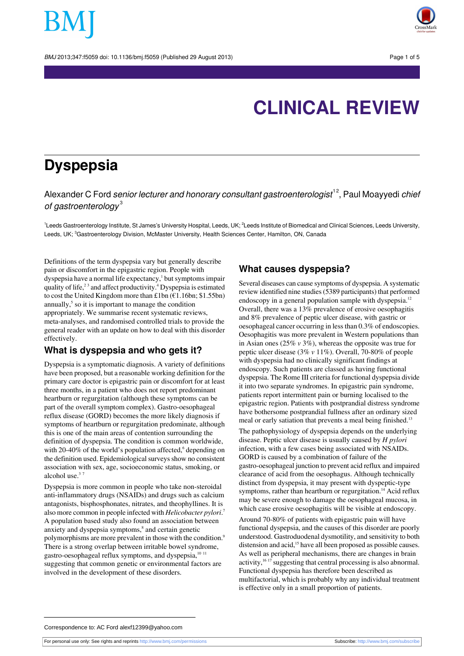BMJ 2013;347:f5059 doi: 10.1136/bmj.f5059 (Published 29 August 2013) Page 1 of 5



# **CLINICAL REVIEW**

# **Dyspepsia**

Alexander C Ford *senior lecturer and honorary consultant gastroenterologist<sup>12</sup>, Paul Moayyedi <i>chiet* of gastroenterology<sup>3</sup>

<sup>1</sup>Leeds Gastroenterology Institute, St James's University Hospital, Leeds, UK; <sup>2</sup>Leeds Institute of Biomedical and Clinical Sciences, Leeds University, Leeds, UK; <sup>3</sup>Gastroenterology Division, McMaster University, Health Sciences Center, Hamilton, ON, Canada

Definitions of the term dyspepsia vary but generally describe pain or discomfort in the epigastric region. People with dyspepsia have a normal life expectancy,<sup>1</sup> but symptoms impair quality of life,<sup>23</sup> and affect productivity.<sup>4</sup> Dyspepsia is estimated to cost the United Kingdom more than £1bn (€1.16bn; \$1.55bn) annually,<sup>5</sup> so it is important to manage the condition appropriately. We summarise recent systematic reviews, meta-analyses, and randomised controlled trials to provide the general reader with an update on how to deal with this disorder effectively.

# **What is dyspepsia and who gets it?**

Dyspepsia is a symptomatic diagnosis. A variety of definitions have been proposed, but a reasonable working definition for the primary care doctor is epigastric pain or discomfort for at least three months, in a patient who does not report predominant heartburn or regurgitation (although these symptoms can be part of the overall symptom complex). Gastro-oesophageal reflux disease (GORD) becomes the more likely diagnosis if symptoms of heartburn or regurgitation predominate, although this is one of the main areas of contention surrounding the definition of dyspepsia. The condition is common worldwide, with 20-40% of the world's population affected, <sup>6</sup> depending on the definition used. Epidemiological surveys show no consistent association with sex, age, socioeconomic status, smoking, or alcohol use.<sup>37</sup>

Dyspepsia is more common in people who take non-steroidal anti-inflammatory drugs (NSAIDs) and drugs such as calcium antagonists, bisphosphonates, nitrates, and theophyllines. It is also more common in people infected with *Helicobacter pylori*. 7 A population based study also found an association between anxiety and dyspepsia symptoms,<sup>8</sup> and certain genetic polymorphisms are more prevalent in those with the condition.<sup>9</sup> There is a strong overlap between irritable bowel syndrome, gastro-oesophageal reflux symptoms, and dyspepsia,<sup>10 11</sup> suggesting that common genetic or environmental factors are involved in the development of these disorders.

# **What causes dyspepsia?**

Several diseases can cause symptoms of dyspepsia. A systematic review identified nine studies(5389 participants) that performed endoscopy in a general population sample with dyspepsia.<sup>12</sup> Overall, there was a 13% prevalence of erosive oesophagitis and 8% prevalence of peptic ulcer disease, with gastric or oesophageal cancer occurring in lessthan 0.3% of endoscopies. Oesophagitis was more prevalent in Western populations than in Asian ones (25% *v* 3%), whereas the opposite was true for peptic ulcer disease (3% *v* 11%). Overall, 70-80% of people with dyspepsia had no clinically significant findings at endoscopy. Such patients are classed as having functional dyspepsia. The Rome III criteria for functional dyspepsia divide it into two separate syndromes. In epigastric pain syndrome, patients report intermittent pain or burning localised to the epigastric region. Patients with postprandial distress syndrome have bothersome postprandial fullness after an ordinary sized meal or early satiation that prevents a meal being finished.<sup>13</sup>

The pathophysiology of dyspepsia depends on the underlying disease. Peptic ulcer disease is usually caused by *H pylori* infection, with a few cases being associated with NSAIDs. GORD is caused by a combination of failure of the gastro-oesophageal junction to prevent acid reflux and impaired clearance of acid from the oesophagus. Although technically distinct from dyspepsia, it may present with dyspeptic-type symptoms, rather than heartburn or regurgitation.<sup>14</sup> Acid reflux may be severe enough to damage the oesophageal mucosa, in which case erosive oesophagitis will be visible at endoscopy.

Around 70-80% of patients with epigastric pain will have functional dyspepsia, and the causes of this disorder are poorly understood. Gastroduodenal dysmotility, and sensitivity to both distension and acid,<sup>15</sup> have all been proposed as possible causes. As well as peripheral mechanisms, there are changes in brain activity,  $16\frac{17}{7}$  suggesting that central processing is also abnormal. Functional dyspepsia has therefore been described as multifactorial, which is probably why any individual treatment is effective only in a small proportion of patients.

Correspondence to: AC Ford alexf12399@yahoo.com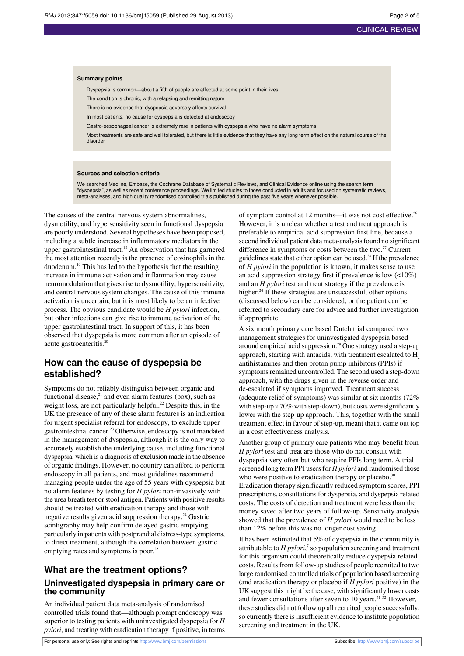#### **Summary points**

Dyspepsia is common—about a fifth of people are affected at some point in their lives

The condition is chronic, with a relapsing and remitting nature

There is no evidence that dyspepsia adversely affects survival

In most patients, no cause for dyspepsia is detected at endoscopy

Gastro-oesophageal cancer is extremely rare in patients with dyspepsia who have no alarm symptoms

Most treatments are safe and well tolerated, but there is little evidence that they have any long term effect on the natural course of the disorder

#### **Sources and selection criteria**

We searched Medline, Embase, the Cochrane Database of Systematic Reviews, and Clinical Evidence online using the search term "dyspepsia", as well as recent conference proceedings. We limited studies to those conducted in adults and focused on systematic reviews, meta-analyses, and high quality randomised controlled trials published during the past five years whenever possible.

The causes of the central nervous system abnormalities, dysmotility, and hypersensitivity seen in functional dyspepsia are poorly understood. Several hypotheses have been proposed, including a subtle increase in inflammatory mediators in the upper gastrointestinal tract.<sup>18</sup> An observation that has garnered the most attention recently is the presence of eosinophils in the duodenum.<sup>19</sup> This has led to the hypothesis that the resulting increase in immune activation and inflammation may cause neuromodulation that gives rise to dysmotility, hypersensitivity, and central nervous system changes. The cause of this immune activation is uncertain, but it is most likely to be an infective process. The obvious candidate would be *H pylori* infection, but other infections can give rise to immune activation of the upper gastrointestinal tract. In support of this, it has been observed that dyspepsia is more common after an episode of acute gastroenteritis.<sup>20</sup>

# **How can the cause of dyspepsia be established?**

Symptoms do not reliably distinguish between organic and functional disease, $^{21}$  and even alarm features (box), such as weight loss, are not particularly helpful.<sup>22</sup> Despite this, in the UK the presence of any of these alarm features is an indication for urgent specialist referral for endoscopy, to exclude upper gastrointestinal cancer.<sup>23</sup> Otherwise, endoscopy is not mandated in the management of dyspepsia, although it is the only way to accurately establish the underlying cause, including functional dyspepsia, which is a diagnosis of exclusion made in the absence of organic findings. However, no country can afford to perform endoscopy in all patients, and most guidelines recommend managing people under the age of 55 years with dyspepsia but no alarm features by testing for *H pylori* non-invasively with the urea breath test or stool antigen. Patients with positive results should be treated with eradication therapy and those with negative results given acid suppression therapy.<sup>24</sup> Gastric scintigraphy may help confirm delayed gastric emptying, particularly in patients with postprandial distress-type symptoms, to direct treatment, although the correlation between gastric emptying rates and symptoms is poor.<sup>25</sup>

# **What are the treatment options? Uninvestigated dyspepsia in primary care or the community**

An individual patient data meta-analysis of randomised controlled trials found that—although prompt endoscopy was superior to testing patients with uninvestigated dyspepsia for *H pylori*, and treating with eradication therapy if positive, in terms

However, it is unclear whether a test and treat approach is preferable to empirical acid suppression first line, because a second individual patient data meta-analysis found no significant difference in symptoms or costs between the two. $27$  Current guidelines state that either option can be used.<sup>28</sup> If the prevalence of *H pylori* in the population is known, it makes sense to use an acid suppression strategy first if prevalence is low (<10%) and an *H pylori* test and treat strategy if the prevalence is higher.<sup>24</sup> If these strategies are unsuccessful, other options (discussed below) can be considered, or the patient can be referred to secondary care for advice and further investigation if appropriate.

of symptom control at 12 months—it was not cost effective.<sup>26</sup>

A six month primary care based Dutch trial compared two management strategies for uninvestigated dyspepsia based around empirical acid suppression.<sup>29</sup> One strategy used a step-up approach, starting with antacids, with treatment escalated to  $H<sub>2</sub>$ antihistamines and then proton pump inhibitors (PPIs) if symptoms remained uncontrolled. The second used a step-down approach, with the drugs given in the reverse order and de-escalated if symptoms improved. Treatment success (adequate relief of symptoms) was similar at six months (72% with step-up *v* 70% with step-down), but costs were significantly lower with the step-up approach. This, together with the small treatment effect in favour of step-up, meant that it came out top in a cost effectiveness analysis.

Another group of primary care patients who may benefit from *H pylori* test and treat are those who do not consult with dyspepsia very often but who require PPIs long term. A trial screened long term PPI usersfor *H pylori* and randomised those who were positive to eradication therapy or placebo. $30$ Eradication therapy significantly reduced symptom scores, PPI prescriptions, consultations for dyspepsia, and dyspepsia related costs. The costs of detection and treatment were less than the money saved after two years of follow-up. Sensitivity analysis showed that the prevalence of *H pylori* would need to be less than 12% before this was no longer cost saving.

It has been estimated that 5% of dyspepsia in the community is attributable to *H pylori*, 7 so population screening and treatment for this organism could theoretically reduce dyspepsia related costs. Results from follow-up studies of people recruited to two large randomised controlled trials of population based screening (and eradication therapy or placebo if *H pylori* positive) in the UK suggest this might be the case, with significantly lower costs and fewer consultations after seven to 10 years. $31\,32$  However, these studies did not follow up all recruited people successfully, so currently there is insufficient evidence to institute population screening and treatment in the UK.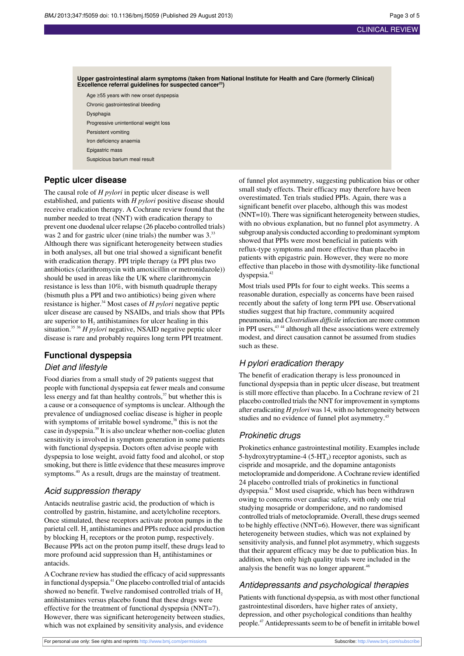Upper gastrointestinal alarm symptoms (taken from National Institute for Health and Care (formerly Clinical)<br>Excellence referral guidelines for suspected cancer<sup>23</sup>)

Age ≥55 years with new onset dyspepsia Chronic gastrointestinal bleeding Dysphagia Progressive unintentional weight loss Persistent vomiting Iron deficiency anaemia Epigastric mass Suspicious barium meal result

## **Peptic ulcer disease**

The causal role of *H pylori* in peptic ulcer disease is well established, and patients with *H pylori* positive disease should receive eradication therapy. A Cochrane review found that the number needed to treat (NNT) with eradication therapy to prevent one duodenal ulcer relapse (26 placebo controlled trials) was 2 and for gastric ulcer (nine trials) the number was  $3^{33}$ Although there was significant heterogeneity between studies in both analyses, all but one trial showed a significant benefit with eradication therapy. PPI triple therapy (a PPI plus two antibiotics (clarithromycin with amoxicillin or metronidazole)) should be used in areas like the UK where clarithromycin resistance is less than 10%, with bismuth quadruple therapy (bismuth plus a PPI and two antibiotics) being given where resistance is higher.<sup>34</sup> Most cases of *H pylori* negative peptic ulcer disease are caused by NSAIDs, and trials show that PPIs are superior to  $H_2$  antihistamines for ulcer healing in this situation.<sup>35</sup> <sup>36</sup> *H pylori* negative, NSAID negative peptic ulcer disease is rare and probably requires long term PPI treatment.

## **Functional dyspepsia**

## Diet and lifestyle

Food diaries from a small study of 29 patients suggest that people with functional dyspepsia eat fewer meals and consume less energy and fat than healthy controls, $37$  but whether this is a cause or a consequence of symptoms is unclear. Although the prevalence of undiagnosed coeliac disease is higher in people with symptoms of irritable bowel syndrome, $38$  this is not the case in dyspepsia.<sup>39</sup> It is also unclear whether non-coeliac gluten sensitivity is involved in symptom generation in some patients with functional dyspepsia. Doctors often advise people with dyspepsia to lose weight, avoid fatty food and alcohol, or stop smoking, but there is little evidence that these measures improve symptoms.<sup>40</sup> As a result, drugs are the mainstay of treatment.

## Acid suppression therapy

Antacids neutralise gastric acid, the production of which is controlled by gastrin, histamine, and acetylcholine receptors. Once stimulated, these receptors activate proton pumps in the parietal cell.  $\mathrm{H}_2$  antihistamines and PPIs reduce acid production by blocking  $H_2$  receptors or the proton pump, respectively. Because PPIs act on the proton pump itself, these drugs lead to more profound acid suppression than  $H_2$  antihistamines or antacids.

A Cochrane review hasstudied the efficacy of acid suppressants in functional dyspepsia.<sup>41</sup> One placebo controlled trial of antacids showed no benefit. Twelve randomised controlled trials of  $H_2$ antihistamines versus placebo found that these drugs were effective for the treatment of functional dyspepsia (NNT=7). However, there was significant heterogeneity between studies, which was not explained by sensitivity analysis, and evidence

of funnel plot asymmetry, suggesting publication bias or other small study effects. Their efficacy may therefore have been overestimated. Ten trials studied PPIs. Again, there was a significant benefit over placebo, although this was modest  $(NNT=10)$ . There was significant heterogeneity between studies, with no obvious explanation, but no funnel plot asymmetry. A subgroup analysis conducted according to predominant symptom showed that PPIs were most beneficial in patients with reflux-type symptoms and more effective than placebo in patients with epigastric pain. However, they were no more effective than placebo in those with dysmotility-like functional dyspepsia.<sup>42</sup>

Most trials used PPIs for four to eight weeks. This seems a reasonable duration, especially as concerns have been raised recently about the safety of long term PPI use. Observational studies suggest that hip fracture, community acquired pneumonia, and *Clostridium difficile* infection are more common in PPI users,<sup>43,44</sup> although all these associations were extremely modest, and direct causation cannot be assumed from studies such as these.

## H pylori eradication therapy

The benefit of eradication therapy is less pronounced in functional dyspepsia than in peptic ulcer disease, but treatment is still more effective than placebo. In a Cochrane review of 21 placebo controlled trials the NNT for improvement in symptoms after eradicating *H pylori* was 14, with no heterogeneity between studies and no evidence of funnel plot asymmetry.<sup>45</sup>

### Prokinetic drugs

Prokinetics enhance gastrointestinal motility. Examples include 5-hydroxytryptamine-4  $(5-HT_4)$  receptor agonists, such as cispride and mosapride, and the dopamine antagonists metoclopramide and domperidone. A Cochrane review identified 24 placebo controlled trials of prokinetics in functional dyspepsia.<sup>41</sup> Most used cisapride, which has been withdrawn owing to concerns over cardiac safety, with only one trial studying mosapride or domperidone, and no randomised controlled trials of metoclopramide. Overall, these drugs seemed to be highly effective (NNT=6). However, there was significant heterogeneity between studies, which was not explained by sensitivity analysis, and funnel plot asymmetry, which suggests that their apparent efficacy may be due to publication bias. In addition, when only high quality trials were included in the analysis the benefit was no longer apparent.<sup>46</sup>

## Antidepressants and psychological therapies

Patients with functional dyspepsia, as with most other functional gastrointestinal disorders, have higher rates of anxiety, depression, and other psychological conditions than healthy people.<sup>47</sup> Antidepressants seem to be of benefit in irritable bowel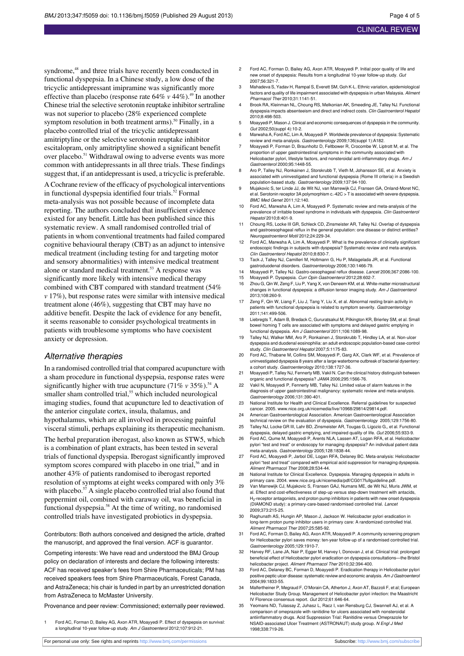syndrome,<sup>48</sup> and three trials have recently been conducted in functional dyspepsia. In a Chinese study, a low dose of the tricyclic antidepressant imipramine was significantly more effective than placebo (response rate 64% *v* 44%).<sup>49</sup> In another Chinese trial the selective serotonin reuptake inhibitor sertraline was not superior to placebo (28% experienced complete symptom resolution in both treatment arms).<sup>50</sup> Finally, in a placebo controlled trial of the tricyclic antidepressant amitriptyline or the selective serotonin reuptake inhibitor escitalopram, only amitriptyline showed a significant benefit over placebo.<sup>51</sup> Withdrawal owing to adverse events was more common with antidepressants in all three trials. These findings suggest that, if an antidepressant is used, a tricyclic is preferable.

A Cochrane review of the efficacy of psychological interventions in functional dyspepsia identified four trials.<sup>52</sup> Formal meta-analysis was not possible because of incomplete data reporting. The authors concluded that insufficient evidence existed for any benefit. Little has been published since this systematic review. A small randomised controlled trial of patients in whom conventional treatments had failed compared cognitive behavioural therapy (CBT) as an adjunct to intensive medical treatment (including testing for and targeting motor and sensory abnormalities) with intensive medical treatment alone or standard medical treatment.<sup>53</sup> A response was significantly more likely with intensive medical therapy combined with CBT compared with standard treatment (54% *v* 17%), but response rates were similar with intensive medical treatment alone (46%), suggesting that CBT may have no additive benefit. Despite the lack of evidence for any benefit, it seems reasonable to consider psychological treatments in patients with troublesome symptoms who have coexistent anxiety or depression.

### Alternative therapies

In a randomised controlled trial that compared acupuncture with a sham procedure in functional dyspepsia, response rates were significantly higher with true acupuncture  $(71\% \text{ v } 35\%).$ <sup>54</sup> A smaller sham controlled trial,<sup>55</sup> which included neurological imaging studies, found that acupuncture led to deactivation of the anterior cingulate cortex, insula, thalamus, and hypothalamus, which are all involved in processing painful visceral stimuli, perhaps explaining its therapeutic mechanism.

The herbal preparation iberogast, also known as STW5, which is a combination of plant extracts, has been tested in several trials of functional dyspepsia. Iberogast significantly improved symptom scores compared with placebo in one trial,<sup>56</sup> and in another 43% of patients randomised to iberogast reported resolution of symptoms at eight weeks compared with only 3% with placebo.<sup>57</sup> A single placebo controlled trial also found that peppermint oil, combined with caraway oil, was beneficial in functional dyspepsia.<sup>58</sup> At the time of writing, no randomised controlled trials have investigated probiotics in dyspepsia.

Contributors: Both authors conceived and designed the article, drafted the manuscript, and approved the final version. ACF is guarantor. Competing interests: We have read and understood the BMJ Group policy on declaration of interests and declare the following interests: ACF has received speaker's fees from Shire Pharmaceuticals; PM has received speakers fees from Shire Pharmaceuticals, Forest Canada, and AstraZeneca; his chair is funded in part by an unrestricted donation from AstraZeneca to McMaster University.

Provenance and peer review: Commissioned; externally peer reviewed.

1 Ford AC, Forman D, Bailey AG, Axon ATR, Moayyedi P. Effect of dyspepsia on survival: a longitudinal 10-year follow-up study. Am J Gastroenterol 2012;107:912-21.

- 2 Ford AC, Forman D, Bailey AG, Axon ATR, Moayyedi P. Initial poor quality of life and new onset of dyspepsia: Results from a longitudinal 10-year follow-up study. Gut 2007;56:321-7.
- 3 Mahadeva S, Yadav H, Rampal S, Everett SM, Goh K-L. Ethnic variation, epidemiological factors and quality of life impairment associated with dyspepsia in urban Malaysia. Aliment Pharmacol Ther 2010;31:1141-51.
- 4 Brook RA, Kleinman NL, Choung RS, Melkonian AK, Smeeding JE, Talley NJ. Functional dyspepsia impacts absenteeism and direct and indirect costs. Clin Gastroenterol Hepatol 2010;8:498-503.
- 5 Moayyedi P, Mason J. Clinical and economic consequences of dyspepsia in the community. Gut 2002;50(suppl 4):10-2.
- 6 Marwaha A, Ford AC, Lim A, Moayyedi P. Worldwide prevalence of dyspepsia: Systematic review and meta-analysis. Gastroenterology 2009;136(suppl 1):A182.
- Moayyedi P, Forman D, Braunholtz D, Feltbower R, Crocombe W, Liptrott M, et al. The proportion of upper gastrointestinal symptoms in the community associated with Helicobacter pylori, lifestyle factors, and nonsteroidal anti-inflammatory drugs. Am J Gastroenterol 2000;95:1448-55.
- 8 Aro P, Talley NJ, Ronkainen J, Storskrubb T, Vieth M, Johansson SE, et al. Anxiety is associated with uninvestigated and functional dyspepsia (Rome III criteria) in a Swedish population-based study. Gastroenterology 2009;137:94-100.
- 9 Mujakovic S, ter Linde JJ, de Wit NJ, van Marrewijk CJ, Fransen GA, Onland-Moret NC, et al. Serotonin receptor 3A polymorphism c.-42C > T is associated with severe dyspepsia. BMC Med Genet 2011;12:140.
- 10 Ford AC, Marwaha A, Lim A, Moayyedi P. Systematic review and meta-analysis of the prevalence of irritable bowel syndrome in individuals with dyspepsia. Clin Gastroenterol Hepatol 2010;8:401-9.
- 11 Choung RS, Locke III GR, Schleck CD, Zinsmeister AR, Talley NJ. Overlap of dyspepsia and gastroesophageal reflux in the general population: one disease or distinct entities? Neurogastroenterol Motil 2012;24:229-34.
- 12 Ford AC, Marwaha A, Lim A, Moayyedi P. What is the prevalence of clinically significant endoscopic findings in subjects with dyspepsia? Systematic review and meta-analysis. Clin Gastroenterol Hepatol 2010;8:830-7.
- Tack J, Talley NJ, Camilleri M, Holtmann G, Hu P, Malagelada JR, et al. Functional gastroduodenal disorders. Gastroenterology 2006;130:1466-79.
- 14 Moayyedi P, Talley NJ. Gastro-oesophageal reflux disease. Lancet 2006;367:2086-100.
- 15 Moayyedi P. Dyspepsia. *Curr Opin Gastroenterol* 2012;28:602-7.<br>16 Zhou G. Oin W. Zeng F. Liu P. Yang X. von Deneem KM. et al. White
- Zhou G, Qin W, Zeng F, Liu P, Yang X, von Deneem KM, et al. White-matter microstructural changes in functional dyspepsia: a diffusion tensor imaging study. Am J Gastroenterol 2013;108:260-9.
- Zeng F, Qin W, Liang F, Liu J, Tang Y, Liu X, et al. Abnormal resting brain activity in patients with functional dyspepsia is related to symptom severity. Gastroenterology 2011;141:499-506.
- 18 Liebregts T, Adam B, Bredack C, Gururatsakul M, Pilkington KR, Brierley SM, et al. Small bowel homing T cells are associated with symptoms and delayed gastric emptying in functional dyspepsia. Am J Gastroenterol 2011;106:1089-98.
- 19 Talley NJ, Walker MM, Aro P, Ronkainen J, Storskrubb T, Hindley LA, et al. Non-ulcer dyspepsia and duodenal eosinophilia: an adult endoscopic population-based case-control study. Clin Gastroenterol Hepatol 2007;5:1175-83.
- 20 Ford AC, Thabane M, Collins SM, Moayyedi P, Garg AX, Clark WF, et al. Prevalence of uninvestigated dyspepsia 8 years after a large waterborne outbreak of bacterial dysentery: a cohort study. Gastroenterology 2010;138:1727-36.
- 21 Moayyedi P, Talley NJ, Fennerty MB, Vakil N. Can the clinical history distinguish between organic and functional dyspepsia? JAMA 2006;295:1566-76.
- 22 Vakil N, Moayyedi P, Fennerty MB, Talley NJ. Limited value of alarm features in the diagnosis of upper gastrointestinal malignancy: systematic review and meta-analysis. Gastroenterology 2006;131:390-401.
- 23 National Institute for Health and Clinical Excellence. Referral guidelines for suspected cancer. 2005. [www.nice.org.uk/nicemedia/live/10968/29814/29814.pdf.](http://www.nice.org.uk/nicemedia/live/10968/29814/29814.pdf)
- 24 American Gastroenterological Association. American Gastroenterological Association technical review on the evaluation of dyspepsia. Gastroenterology 2005;129:1756-80.
- 25 Talley NJ, Locke GR III, Lahr BD, Zinsmeister AR, Tougas G, Ligozio G,, et al. Functional dyspepsia, delayed gastric emptying, and impaired quality of life. Gut 2006;55:933-9.
- 26 Ford AC, Qume M, Moayyedi P, Arents NLA, Lassen AT, Logan RFA, et al. Helicobacter pylori "test and treat" or endoscopy for managing dyspepsia? An individual patient data meta-analysis. Gastroenterology 2005;128:1838-44
- 27 Ford AC, Moayyedi P, Jarbol DE, Logan RFA, Delaney BC. Meta-analysis: Helicobacter pylori "test and treat" compared with empirical acid suppression for managing dyspepsia. Aliment Pharmacol Ther 2008;28:534-44.
- National Institute for Clinical Excellence. Dyspepsia. Managing dyspepsia in adults in primary care. 2004. [www.nice.org.uk/nicemedia/pdf/CG017fullguideline.pdf](http://www.nice.org.uk/nicemedia/pdf/CG017fullguideline.pdf).
- 29 Van Marrewijk CJ, Mujakovic S, Fransen GAJ, Numans ME, de Wit NJ, Muris JWM, et al. Effect and cost-effectiveness of step-up versus step-down treatment with antacids, H<sub>2</sub>-receptor antagonists, and proton pump inhibitors in patients with new onset dyspepsia (DIAMOND study): a primary-care-based randomised controlled trial. Lancet 2009;373:215-25.
- 30 Raghunath AS, Hungin AP, Mason J, Jackson W. Helicobacter pylori eradication in long-term proton pump inhibitor users in primary care: A randomized controlled trial. Aliment Pharmacol Ther 2007;25:585-92.
- 31 Ford AC, Forman D, Bailey AG, Axon ATR, Moayyedi P. A community screening program for Helicobacter pylori saves money: ten-year follow-up of a randomised controlled trial. Gastroenterology 2005;129:1910-7.
- 32 Harvey RF, Lane JA, Nair P, Egger M, Harvey I, Donovan J, et al. Clinical trial: prolonged beneficial effect of Helicobacter pylori eradication on dyspepsia consultations—the Bristol helicobacter project. Aliment Pharmacol Ther 2010;32:394-400.
- 33 Ford AC, Delaney BC, Forman D, Moayyedi P. Eradication therapy in Helicobacter pylori positive peptic ulcer disease: systematic review and economic analysis. Am J Gastroenterol 2004;99:1833-55.
- 34 Malfertheiner P, Megraud F, O'Morain CA, Atherton J, Axon AT, Bazzoli F, et al; European Helicobacter Study Group. Management of Helicobacter pylori infection: the Maastricht IV Florence consensus report. Gut 2012;61:646-64.
- 35 Yeomans ND, Tulassay Z, Juhasz L, Racz I, van Rensburg CJ, Swannell AJ, et al. A comparison of omeprazole with ranitidine for ulcers associated with nonsteroidal antiinflammatory drugs. Acid Suppression Trial: Ranitidine versus Omeprazole for NSAID-associated Ulcer Treatment (ASTRONAUT) study group. N Engl J Med 1998;338:719-26.